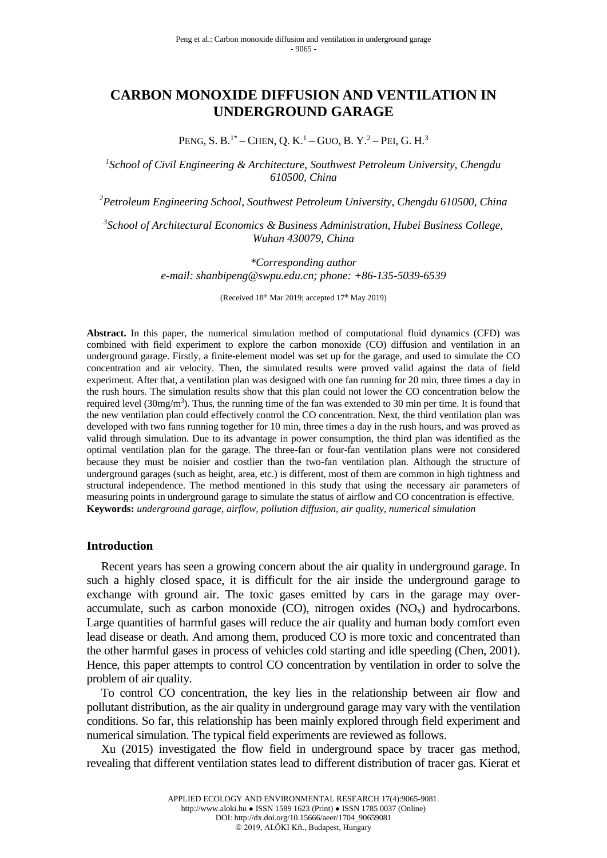# **CARBON MONOXIDE DIFFUSION AND VENTILATION IN UNDERGROUND GARAGE**

PENG, S. B.<sup>1\*</sup> – CHEN, O. K.<sup>1</sup> – GUO, B. Y.<sup>2</sup> – PEI, G. H.<sup>3</sup>

*1 School of Civil Engineering & Architecture, Southwest Petroleum University, Chengdu 610500, China*

*<sup>2</sup>Petroleum Engineering School, Southwest Petroleum University, Chengdu 610500, China*

*3 School of Architectural Economics & Business Administration, Hubei Business College, Wuhan 430079, China*

> *\*Corresponding author e-mail: shanbipeng@swpu.edu.cn; phone: +86-135-5039-6539*

> > (Received  $18<sup>th</sup>$  Mar 2019; accepted  $17<sup>th</sup>$  May 2019)

**Abstract.** In this paper, the numerical simulation method of computational fluid dynamics (CFD) was combined with field experiment to explore the carbon monoxide (CO) diffusion and ventilation in an underground garage. Firstly, a finite-element model was set up for the garage, and used to simulate the CO concentration and air velocity. Then, the simulated results were proved valid against the data of field experiment. After that, a ventilation plan was designed with one fan running for 20 min, three times a day in the rush hours. The simulation results show that this plan could not lower the CO concentration below the required level  $(30mg/m<sup>3</sup>)$ . Thus, the running time of the fan was extended to 30 min per time. It is found that the new ventilation plan could effectively control the CO concentration. Next, the third ventilation plan was developed with two fans running together for 10 min, three times a day in the rush hours, and was proved as valid through simulation. Due to its advantage in power consumption, the third plan was identified as the optimal ventilation plan for the garage. The three-fan or four-fan ventilation plans were not considered because they must be noisier and costlier than the two-fan ventilation plan. Although the structure of underground garages (such as height, area, etc.) is different, most of them are common in high tightness and structural independence. The method mentioned in this study that using the necessary air parameters of measuring points in underground garage to simulate the status of airflow and CO concentration is effective. **Keywords:** *underground garage, airflow, pollution diffusion, air quality, numerical simulation*

#### **Introduction**

Recent years has seen a growing concern about the air quality in underground garage. In such a highly closed space, it is difficult for the air inside the underground garage to exchange with ground air. The toxic gases emitted by cars in the garage may overaccumulate, such as carbon monoxide (CO), nitrogen oxides  $(NO<sub>x</sub>)$  and hydrocarbons. Large quantities of harmful gases will reduce the air quality and human body comfort even lead disease or death. And among them, produced CO is more toxic and concentrated than the other harmful gases in process of vehicles cold starting and idle speeding (Chen, 2001). Hence, this paper attempts to control CO concentration by ventilation in order to solve the problem of air quality.

To control CO concentration, the key lies in the relationship between air flow and pollutant distribution, as the air quality in underground garage may vary with the ventilation conditions. So far, this relationship has been mainly explored through field experiment and numerical simulation. The typical field experiments are reviewed as follows.

Xu (2015) investigated the flow field in underground space by tracer gas method, revealing that different ventilation states lead to different distribution of tracer gas. Kierat et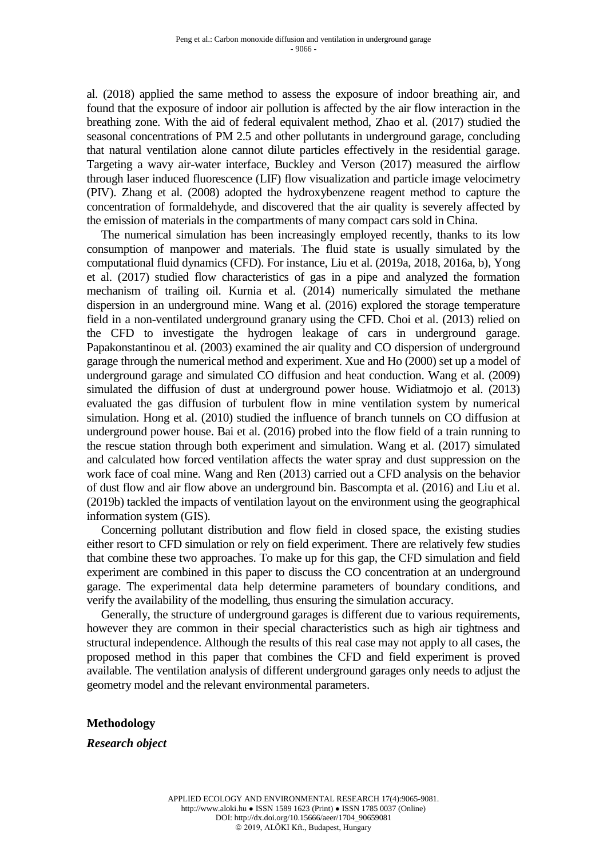al. (2018) applied the same method to assess the exposure of indoor breathing air, and found that the exposure of indoor air pollution is affected by the air flow interaction in the breathing zone. With the aid of federal equivalent method, Zhao et al. (2017) studied the seasonal concentrations of PM 2.5 and other pollutants in underground garage, concluding that natural ventilation alone cannot dilute particles effectively in the residential garage. Targeting a wavy air-water interface, Buckley and Verson (2017) measured the airflow through laser induced fluorescence (LIF) flow visualization and particle image velocimetry (PIV). Zhang et al. (2008) adopted the hydroxybenzene reagent method to capture the concentration of formaldehyde, and discovered that the air quality is severely affected by the emission of materials in the compartments of many compact cars sold in China.

The numerical simulation has been increasingly employed recently, thanks to its low consumption of manpower and materials. The fluid state is usually simulated by the computational fluid dynamics (CFD). For instance, Liu et al. (2019a, 2018, 2016a, b), Yong et al. (2017) studied flow characteristics of gas in a pipe and analyzed the formation mechanism of trailing oil. Kurnia et al. (2014) numerically simulated the methane dispersion in an underground mine. Wang et al. (2016) explored the storage temperature field in a non-ventilated underground granary using the CFD. Choi et al. (2013) relied on the CFD to investigate the hydrogen leakage of cars in underground garage. Papakonstantinou et al. (2003) examined the air quality and CO dispersion of underground garage through the numerical method and experiment. Xue and Ho (2000) set up a model of underground garage and simulated CO diffusion and heat conduction. Wang et al. (2009) simulated the diffusion of dust at underground power house. Widiatmojo et al. (2013) evaluated the gas diffusion of turbulent flow in mine ventilation system by numerical simulation. Hong et al. (2010) studied the influence of branch tunnels on CO diffusion at underground power house. Bai et al. (2016) probed into the flow field of a train running to the rescue station through both experiment and simulation. Wang et al. (2017) simulated and calculated how forced ventilation affects the water spray and dust suppression on the work face of coal mine. Wang and Ren (2013) carried out a CFD analysis on the behavior of dust flow and air flow above an underground bin. Bascompta et al. (2016) and Liu et al. (2019b) tackled the impacts of ventilation layout on the environment using the geographical information system (GIS).

Concerning pollutant distribution and flow field in closed space, the existing studies either resort to CFD simulation or rely on field experiment. There are relatively few studies that combine these two approaches. To make up for this gap, the CFD simulation and field experiment are combined in this paper to discuss the CO concentration at an underground garage. The experimental data help determine parameters of boundary conditions, and verify the availability of the modelling, thus ensuring the simulation accuracy.

Generally, the structure of underground garages is different due to various requirements, however they are common in their special characteristics such as high air tightness and structural independence. Although the results of this real case may not apply to all cases, the proposed method in this paper that combines the CFD and field experiment is proved available. The ventilation analysis of different underground garages only needs to adjust the geometry model and the relevant environmental parameters.

## **Methodology**

*Research object*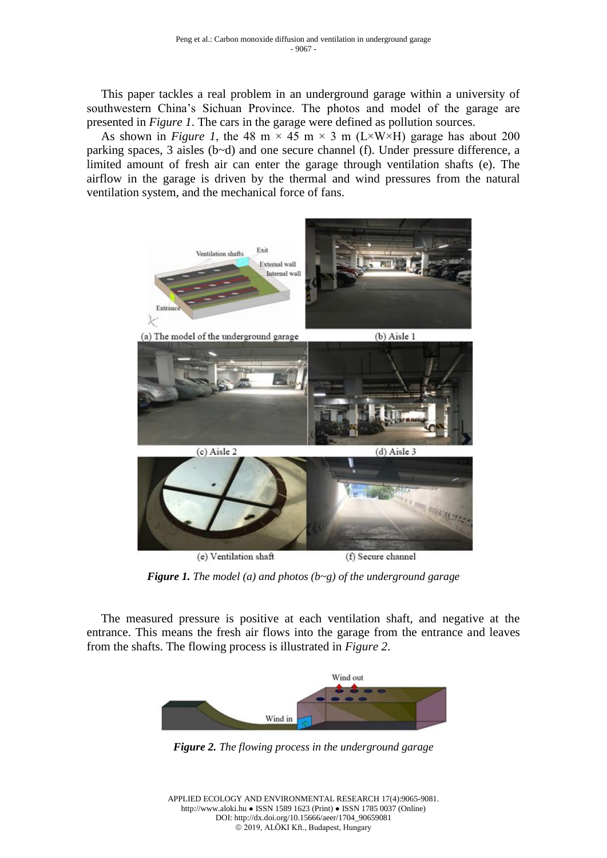This paper tackles a real problem in an underground garage within a university of southwestern China's Sichuan Province. The photos and model of the garage are presented in *Figure 1*. The cars in the garage were defined as pollution sources.

As shown in *Figure 1*, the 48 m  $\times$  45 m  $\times$  3 m (L $\times$ W $\times$ H) garage has about 200 parking spaces, 3 aisles (b~d) and one secure channel (f). Under pressure difference, a limited amount of fresh air can enter the garage through ventilation shafts (e). The airflow in the garage is driven by the thermal and wind pressures from the natural ventilation system, and the mechanical force of fans.



*Figure 1. The model (a) and photos (b~g) of the underground garage*

The measured pressure is positive at each ventilation shaft, and negative at the entrance. This means the fresh air flows into the garage from the entrance and leaves from the shafts. The flowing process is illustrated in *Figure 2*.



*Figure 2. The flowing process in the underground garage*

APPLIED ECOLOGY AND ENVIRONMENTAL RESEARCH 17(4):9065-9081. http://www.aloki.hu ● ISSN 1589 1623 (Print) ● ISSN 1785 0037 (Online) DOI: http://dx.doi.org/10.15666/aeer/1704\_90659081 2019, ALÖKI Kft., Budapest, Hungary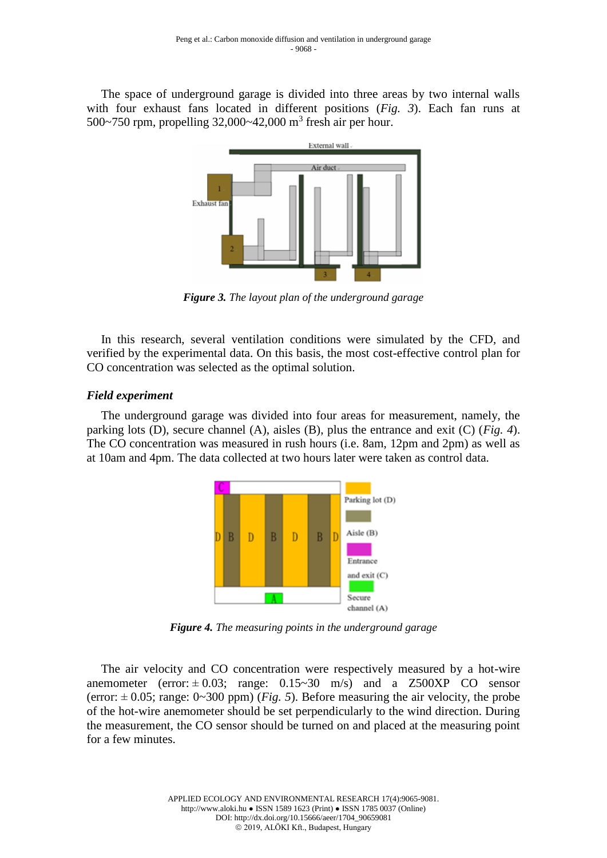The space of underground garage is divided into three areas by two internal walls with four exhaust fans located in different positions (*Fig. 3*). Each fan runs at 500~750 rpm, propelling 32,000~42,000 m<sup>3</sup> fresh air per hour.



*Figure 3. The layout plan of the underground garage*

In this research, several ventilation conditions were simulated by the CFD, and verified by the experimental data. On this basis, the most cost-effective control plan for CO concentration was selected as the optimal solution.

# *Field experiment*

The underground garage was divided into four areas for measurement, namely, the parking lots (D), secure channel (A), aisles (B), plus the entrance and exit (C) (*Fig. 4*). The CO concentration was measured in rush hours (i.e. 8am, 12pm and 2pm) as well as at 10am and 4pm. The data collected at two hours later were taken as control data.



*Figure 4. The measuring points in the underground garage*

The air velocity and CO concentration were respectively measured by a hot-wire anemometer (error:  $\pm 0.03$ ; range:  $0.15 \approx 30$  m/s) and a Z500XP CO sensor (error:  $\pm$  0.05; range: 0~300 ppm) (*Fig. 5*). Before measuring the air velocity, the probe of the hot-wire anemometer should be set perpendicularly to the wind direction. During the measurement, the CO sensor should be turned on and placed at the measuring point for a few minutes.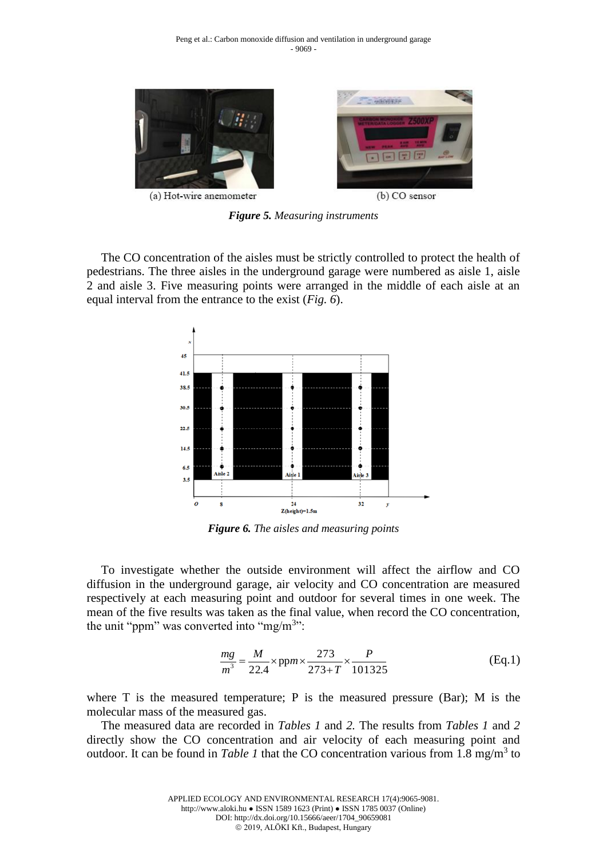

(a) Hot-wire anemometer

(b) CO sensor

*Figure 5. Measuring instruments*

The CO concentration of the aisles must be strictly controlled to protect the health of pedestrians. The three aisles in the underground garage were numbered as aisle 1, aisle 2 and aisle 3. Five measuring points were arranged in the middle of each aisle at an equal interval from the entrance to the exist (*Fig. 6*).



*Figure 6. The aisles and measuring points*

To investigate whether the outside environment will affect the airflow and CO diffusion in the underground garage, air velocity and CO concentration are measured respectively at each measuring point and outdoor for several times in one week. The mean of the five results was taken as the final value, when record the CO concentration, the unit "ppm" was converted into "mg/m<sup>3</sup>":

$$
\frac{mg}{m^3} = \frac{M}{22.4} \times ppm \times \frac{273}{273 + T} \times \frac{P}{101325}
$$
(Eq.1)

where T is the measured temperature; P is the measured pressure (Bar); M is the molecular mass of the measured gas.

The measured data are recorded in *Tables 1* and *2.* The results from *Tables 1* and *2* directly show the CO concentration and air velocity of each measuring point and outdoor. It can be found in *Table 1* that the CO concentration various from 1.8 mg/m<sup>3</sup> to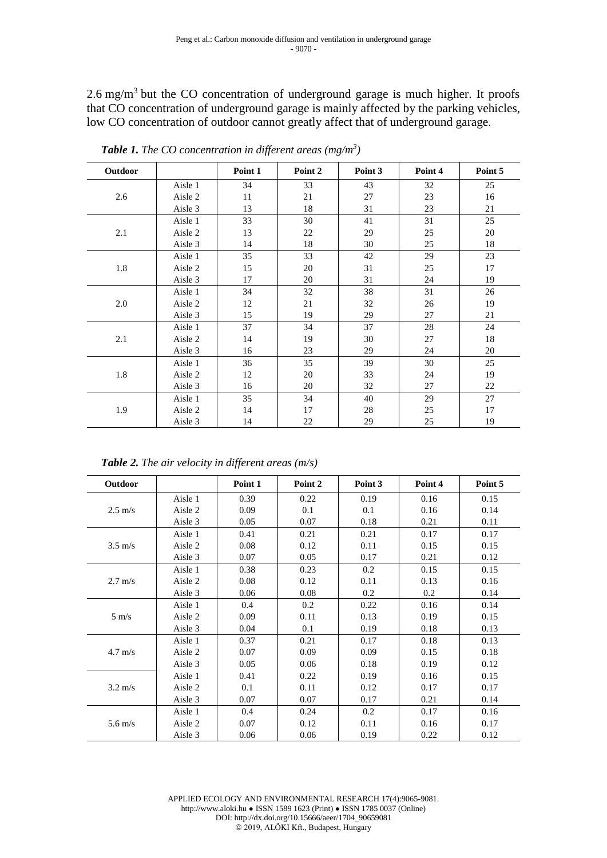$2.6$  mg/m<sup>3</sup> but the CO concentration of underground garage is much higher. It proofs that CO concentration of underground garage is mainly affected by the parking vehicles, low CO concentration of outdoor cannot greatly affect that of underground garage.

| Outdoor |         | Point 1 | Point 2 | Point 3 | Point 4 | Point 5 |
|---------|---------|---------|---------|---------|---------|---------|
| 2.6     | Aisle 1 | 34      | 33      | 43      | 32      | 25      |
|         | Aisle 2 | 11      | 21      | 27      | 23      | 16      |
|         | Aisle 3 | 13      | 18      | 31      | 23      | 21      |
|         | Aisle 1 | 33      | 30      | 41      | 31      | 25      |
| 2.1     | Aisle 2 | 13      | 22      | 29      | 25      | 20      |
|         | Aisle 3 | 14      | 18      | 30      | 25      | 18      |
| 1.8     | Aisle 1 | 35      | 33      | 42      | 29      | 23      |
|         | Aisle 2 | 15      | 20      | 31      | 25      | 17      |
|         | Aisle 3 | 17      | 20      | 31      | 24      | 19      |
| 2.0     | Aisle 1 | 34      | 32      | 38      | 31      | 26      |
|         | Aisle 2 | 12      | 21      | 32      | 26      | 19      |
|         | Aisle 3 | 15      | 19      | 29      | 27      | 21      |
| 2.1     | Aisle 1 | 37      | 34      | 37      | 28      | 24      |
|         | Aisle 2 | 14      | 19      | 30      | 27      | 18      |
|         | Aisle 3 | 16      | 23      | 29      | 24      | 20      |
| 1.8     | Aisle 1 | 36      | 35      | 39      | 30      | 25      |
|         | Aisle 2 | 12      | 20      | 33      | 24      | 19      |
|         | Aisle 3 | 16      | 20      | 32      | 27      | 22      |
| 1.9     | Aisle 1 | 35      | 34      | 40      | 29      | 27      |
|         | Aisle 2 | 14      | 17      | 28      | 25      | 17      |
|         | Aisle 3 | 14      | 22      | 29      | $25\,$  | 19      |

*Table 1. The CO concentration in different areas (mg/m<sup>3</sup> )*

*Table 2. The air velocity in different areas (m/s)*

| Outdoor           |         | Point 1 | Point 2 | Point 3 | Point 4 | Point 5 |
|-------------------|---------|---------|---------|---------|---------|---------|
| $2.5 \text{ m/s}$ | Aisle 1 | 0.39    | 0.22    | 0.19    | 0.16    | 0.15    |
|                   | Aisle 2 | 0.09    | 0.1     | 0.1     | 0.16    | 0.14    |
|                   | Aisle 3 | 0.05    | 0.07    | 0.18    | 0.21    | 0.11    |
| $3.5 \text{ m/s}$ | Aisle 1 | 0.41    | 0.21    | 0.21    | 0.17    | 0.17    |
|                   | Aisle 2 | 0.08    | 0.12    | 0.11    | 0.15    | 0.15    |
|                   | Aisle 3 | 0.07    | 0.05    | 0.17    | 0.21    | 0.12    |
| $2.7 \text{ m/s}$ | Aisle 1 | 0.38    | 0.23    | 0.2     | 0.15    | 0.15    |
|                   | Aisle 2 | 0.08    | 0.12    | 0.11    | 0.13    | 0.16    |
|                   | Aisle 3 | 0.06    | 0.08    | 0.2     | 0.2     | 0.14    |
| $5 \text{ m/s}$   | Aisle 1 | 0.4     | 0.2     | 0.22    | 0.16    | 0.14    |
|                   | Aisle 2 | 0.09    | 0.11    | 0.13    | 0.19    | 0.15    |
|                   | Aisle 3 | 0.04    | 0.1     | 0.19    | 0.18    | 0.13    |
| $4.7 \text{ m/s}$ | Aisle 1 | 0.37    | 0.21    | 0.17    | 0.18    | 0.13    |
|                   | Aisle 2 | 0.07    | 0.09    | 0.09    | 0.15    | 0.18    |
|                   | Aisle 3 | 0.05    | 0.06    | 0.18    | 0.19    | 0.12    |
| $3.2 \text{ m/s}$ | Aisle 1 | 0.41    | 0.22    | 0.19    | 0.16    | 0.15    |
|                   | Aisle 2 | 0.1     | 0.11    | 0.12    | 0.17    | 0.17    |
|                   | Aisle 3 | 0.07    | 0.07    | 0.17    | 0.21    | 0.14    |
| $5.6 \text{ m/s}$ | Aisle 1 | 0.4     | 0.24    | 0.2     | 0.17    | 0.16    |
|                   | Aisle 2 | 0.07    | 0.12    | 0.11    | 0.16    | 0.17    |
|                   | Aisle 3 | 0.06    | 0.06    | 0.19    | 0.22    | 0.12    |

APPLIED ECOLOGY AND ENVIRONMENTAL RESEARCH 17(4):9065-9081. http://www.aloki.hu ● ISSN 1589 1623 (Print) ● ISSN 1785 0037 (Online) DOI: http://dx.doi.org/10.15666/aeer/1704\_90659081 2019, ALÖKI Kft., Budapest, Hungary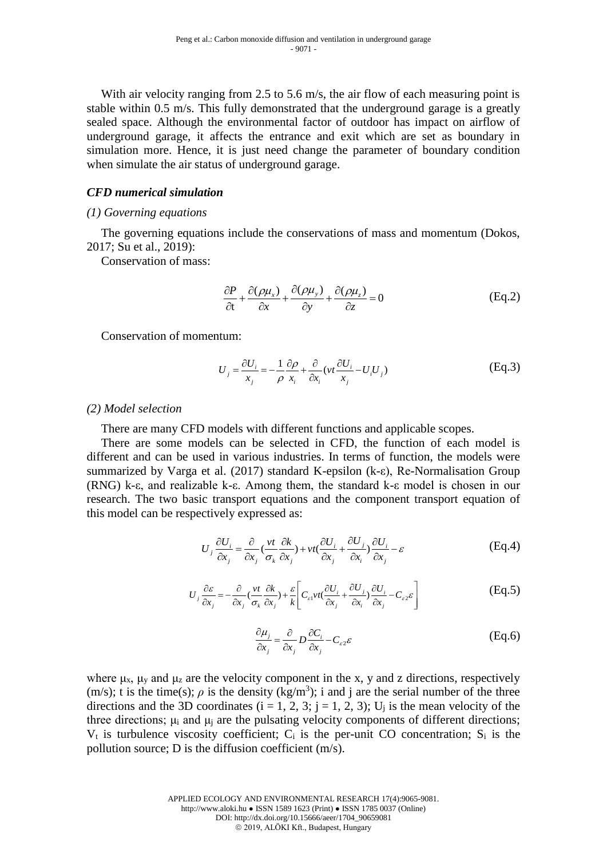With air velocity ranging from 2.5 to 5.6 m/s, the air flow of each measuring point is stable within 0.5 m/s. This fully demonstrated that the underground garage is a greatly sealed space. Although the environmental factor of outdoor has impact on airflow of underground garage, it affects the entrance and exit which are set as boundary in simulation more. Hence, it is just need change the parameter of boundary condition when simulate the air status of underground garage.

### *CFD numerical simulation*

### *(1) Governing equations*

The governing equations include the conservations of mass and momentum (Dokos, 2017; Su et al., 2019):

Conservation of mass:

$$
\frac{\partial P}{\partial t} + \frac{\partial(\rho \mu_x)}{\partial x} + \frac{\partial(\rho \mu_y)}{\partial y} + \frac{\partial(\rho \mu_z)}{\partial z} = 0
$$
 (Eq.2)

Conservation of momentum:

$$
U_j = \frac{\partial U_i}{x_j} = -\frac{1}{\rho} \frac{\partial \rho}{x_i} + \frac{\partial}{\partial x_i} (vt \frac{\partial U_i}{x_j} - U_i U_j)
$$
(Eq.3)

### *(2) Model selection*

There are many CFD models with different functions and applicable scopes.

There are some models can be selected in CFD, the function of each model is different and can be used in various industries. In terms of function, the models were summarized by Varga et al. (2017) standard K-epsilon (k-ε), Re-Normalisation Group (RNG) k-ε, and realizable k-ε. Among them, the standard k-ε model is chosen in our research. The two basic transport equations and the component transport equation of this model can be respectively expressed as:

$$
U_j \frac{\partial U_i}{\partial x_j} = \frac{\partial}{\partial x_j} \left( \frac{vt}{\sigma_k} \frac{\partial k}{\partial x_j} \right) + vt \left( \frac{\partial U_i}{\partial x_j} + \frac{\partial U_j}{\partial x_i} \right) \frac{\partial U_i}{\partial x_j} - \varepsilon
$$
(Eq.4)

$$
U_j \frac{\partial \varepsilon}{\partial x_j} = -\frac{\partial}{\partial x_j} \left( \frac{vt}{\sigma_k} \frac{\partial k}{\partial x_j} \right) + \frac{\varepsilon}{k} \left[ C_{\varepsilon 1} vt \left( \frac{\partial U_i}{\partial x_j} + \frac{\partial U_j}{\partial x_i} \right) \frac{\partial U_i}{\partial x_j} - C_{\varepsilon 2} \varepsilon \right]
$$
(Eq.5)

$$
\frac{\partial \mu_j}{\partial x_j} = \frac{\partial}{\partial x_j} D \frac{\partial C_i}{\partial x_j} - C_{\varepsilon 2} \varepsilon
$$
 (Eq.6)

where  $\mu_x$ ,  $\mu_y$  and  $\mu_z$  are the velocity component in the x, y and z directions, respectively  $(m/s)$ ; t is the time(s);  $\rho$  is the density (kg/m<sup>3</sup>); i and j are the serial number of the three directions and the 3D coordinates  $(i = 1, 2, 3; j = 1, 2, 3)$ ;  $U_j$  is the mean velocity of the three directions;  $\mu_i$  and  $\mu_j$  are the pulsating velocity components of different directions;  $V_t$  is turbulence viscosity coefficient;  $C_i$  is the per-unit CO concentration;  $S_i$  is the pollution source; D is the diffusion coefficient (m/s).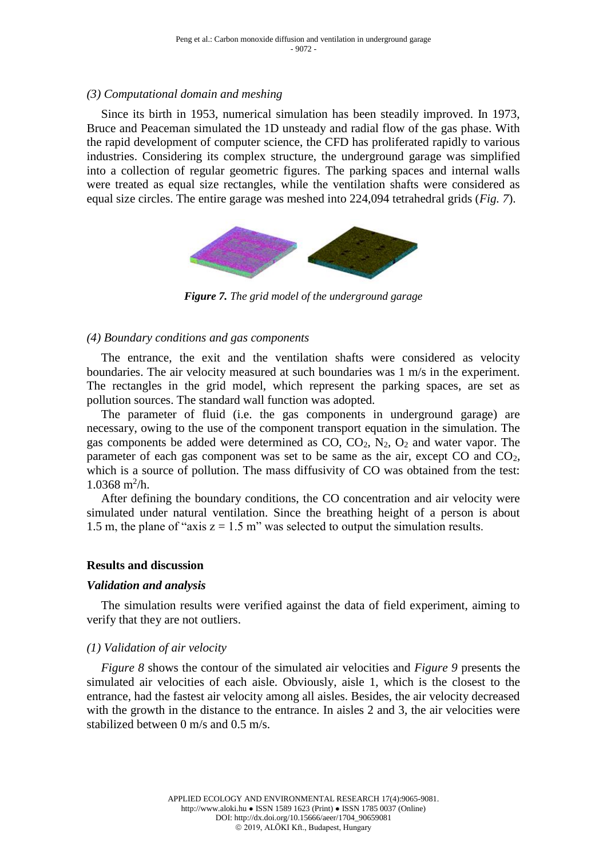### *(3) Computational domain and meshing*

Since its birth in 1953, numerical simulation has been steadily improved. In 1973, Bruce and Peaceman simulated the 1D unsteady and radial flow of the gas phase. With the rapid development of computer science, the CFD has proliferated rapidly to various industries. Considering its complex structure, the underground garage was simplified into a collection of regular geometric figures. The parking spaces and internal walls were treated as equal size rectangles, while the ventilation shafts were considered as equal size circles. The entire garage was meshed into 224,094 tetrahedral grids (*Fig. 7*).



*Figure 7. The grid model of the underground garage*

### *(4) Boundary conditions and gas components*

The entrance, the exit and the ventilation shafts were considered as velocity boundaries. The air velocity measured at such boundaries was 1 m/s in the experiment. The rectangles in the grid model, which represent the parking spaces, are set as pollution sources. The standard wall function was adopted.

The parameter of fluid (i.e. the gas components in underground garage) are necessary, owing to the use of the component transport equation in the simulation. The gas components be added were determined as  $CO$ ,  $CO<sub>2</sub>$ ,  $N<sub>2</sub>$ ,  $O<sub>2</sub>$  and water vapor. The parameter of each gas component was set to be same as the air, except CO and CO2, which is a source of pollution. The mass diffusivity of CO was obtained from the test:  $1.0368$  m<sup>2</sup>/h.

After defining the boundary conditions, the CO concentration and air velocity were simulated under natural ventilation. Since the breathing height of a person is about 1.5 m, the plane of "axis  $z = 1.5$  m" was selected to output the simulation results.

### **Results and discussion**

### *Validation and analysis*

The simulation results were verified against the data of field experiment, aiming to verify that they are not outliers.

### *(1) Validation of air velocity*

*Figure 8* shows the contour of the simulated air velocities and *Figure 9* presents the simulated air velocities of each aisle. Obviously, aisle 1, which is the closest to the entrance, had the fastest air velocity among all aisles. Besides, the air velocity decreased with the growth in the distance to the entrance. In aisles 2 and 3, the air velocities were stabilized between 0 m/s and 0.5 m/s.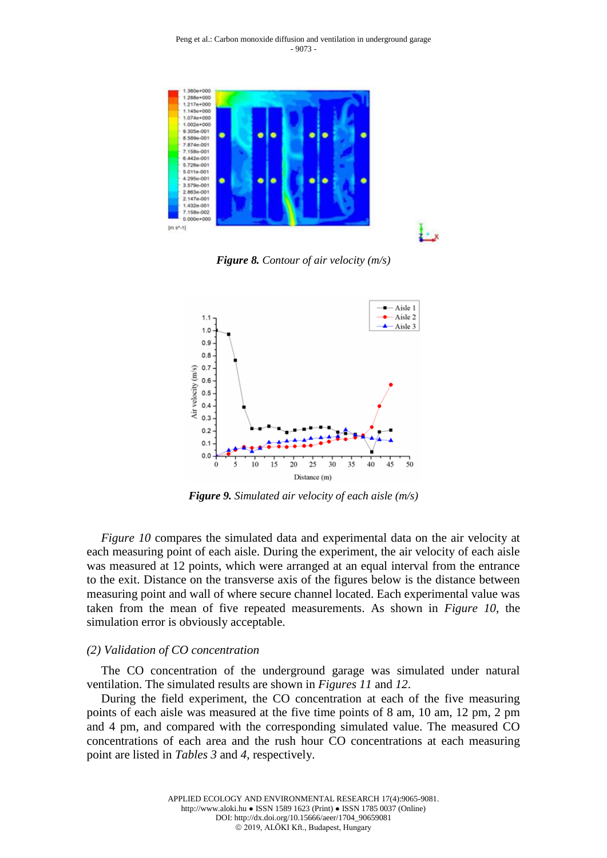

*Figure 8. Contour of air velocity (m/s)*



*Figure 9. Simulated air velocity of each aisle (m/s)*

*Figure 10* compares the simulated data and experimental data on the air velocity at each measuring point of each aisle. During the experiment, the air velocity of each aisle was measured at 12 points, which were arranged at an equal interval from the entrance to the exit. Distance on the transverse axis of the figures below is the distance between measuring point and wall of where secure channel located. Each experimental value was taken from the mean of five repeated measurements. As shown in *Figure 10*, the simulation error is obviously acceptable.

#### *(2) Validation of CO concentration*

The CO concentration of the underground garage was simulated under natural ventilation. The simulated results are shown in *Figures 11* and *12*.

During the field experiment, the CO concentration at each of the five measuring points of each aisle was measured at the five time points of 8 am, 10 am, 12 pm, 2 pm and 4 pm, and compared with the corresponding simulated value. The measured CO concentrations of each area and the rush hour CO concentrations at each measuring point are listed in *Tables 3* and *4*, respectively.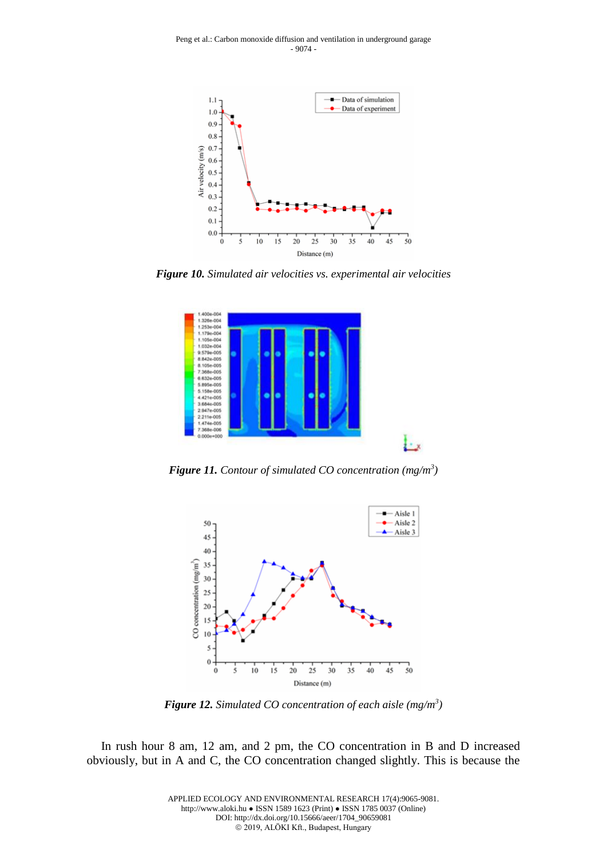

*Figure 10. Simulated air velocities vs. experimental air velocities*



*Figure 11. Contour of simulated CO concentration (mg/m<sup>3</sup> )*



*Figure 12. Simulated CO concentration of each aisle (mg/m<sup>3</sup> )*

In rush hour 8 am, 12 am, and 2 pm, the CO concentration in B and D increased obviously, but in A and C, the CO concentration changed slightly. This is because the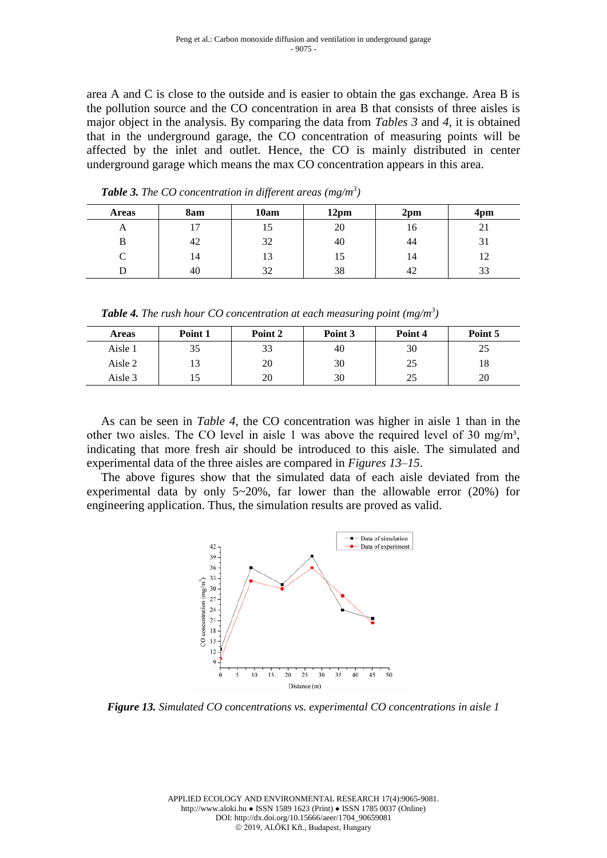area A and C is close to the outside and is easier to obtain the gas exchange. Area B is the pollution source and the CO concentration in area B that consists of three aisles is major object in the analysis. By comparing the data from *Tables 3* and *4*, it is obtained that in the underground garage, the CO concentration of measuring points will be affected by the inlet and outlet. Hence, the CO is mainly distributed in center underground garage which means the max CO concentration appears in this area.

| <b>Areas</b> | 8am          | 10am | 12 <sub>pm</sub> | 2 <sub>pm</sub> | 4 <sub>pm</sub> |
|--------------|--------------|------|------------------|-----------------|-----------------|
| $\mathbf{L}$ | ∽<br>. L . J | 15   | 20               | 10              | ∠⊥              |
| в            | 42           | 32   | 40               | 44              | $\sim$<br>31    |
| C            | 14           | 13   | 15               | 14              | $1^{\circ}$     |
| , ו          | 40           | 32   | 38               | 42              | 33              |

*Table 3. The CO concentration in different areas (mg/m<sup>3</sup> )*

*Table 4. The rush hour CO concentration at each measuring point (mg/m<sup>3</sup> )*

| <b>Areas</b> | Point 1 | Point 2 | Point 3 | Point 4 | Point 5 |
|--------------|---------|---------|---------|---------|---------|
| Aisle 1      | 35      | 33      | 40      | 30      | 25      |
| Aisle 2      | ιэ      | 20      | 30      | 25      | 18      |
| Aisle 3      |         | 20      | 30      | 25      | 20      |

As can be seen in *Table 4*, the CO concentration was higher in aisle 1 than in the other two aisles. The CO level in aisle 1 was above the required level of 30 mg/m<sup>3</sup>, indicating that more fresh air should be introduced to this aisle. The simulated and experimental data of the three aisles are compared in *Figures 13–15*.

The above figures show that the simulated data of each aisle deviated from the experimental data by only 5~20%, far lower than the allowable error (20%) for engineering application. Thus, the simulation results are proved as valid.



*Figure 13. Simulated CO concentrations vs. experimental CO concentrations in aisle 1*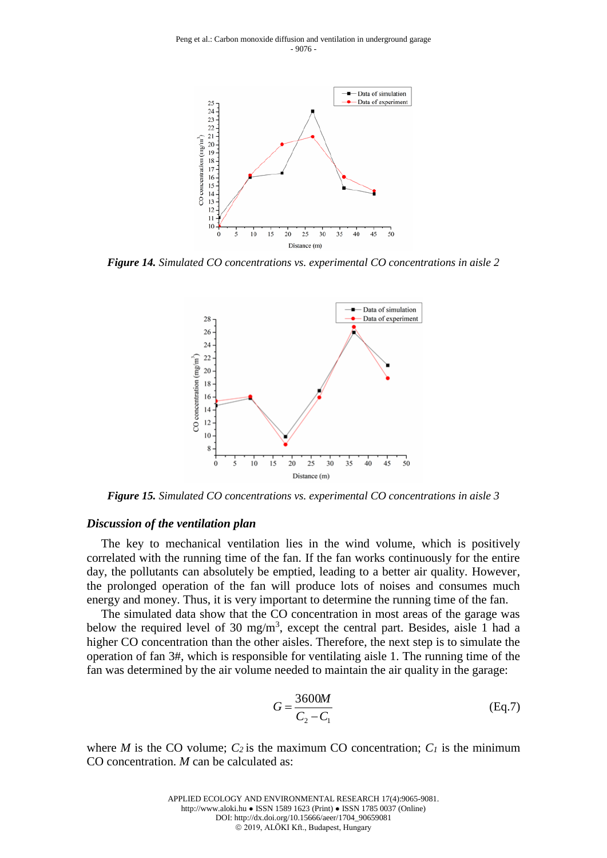

*Figure 14. Simulated CO concentrations vs. experimental CO concentrations in aisle 2*



*Figure 15. Simulated CO concentrations vs. experimental CO concentrations in aisle 3*

#### *Discussion of the ventilation plan*

The key to mechanical ventilation lies in the wind volume, which is positively correlated with the running time of the fan. If the fan works continuously for the entire day, the pollutants can absolutely be emptied, leading to a better air quality. However, the prolonged operation of the fan will produce lots of noises and consumes much energy and money. Thus, it is very important to determine the running time of the fan.

The simulated data show that the CO concentration in most areas of the garage was below the required level of 30 mg/m<sup>3</sup>, except the central part. Besides, aisle 1 had a higher CO concentration than the other aisles. Therefore, the next step is to simulate the operation of fan 3#, which is responsible for ventilating aisle 1. The running time of the fan was determined by the air volume needed to maintain the air quality in the garage:

$$
G = \frac{3600M}{C_2 - C_1}
$$
 (Eq.7)

where *M* is the CO volume;  $C_2$  is the maximum CO concentration;  $C_1$  is the minimum CO concentration. *M* can be calculated as: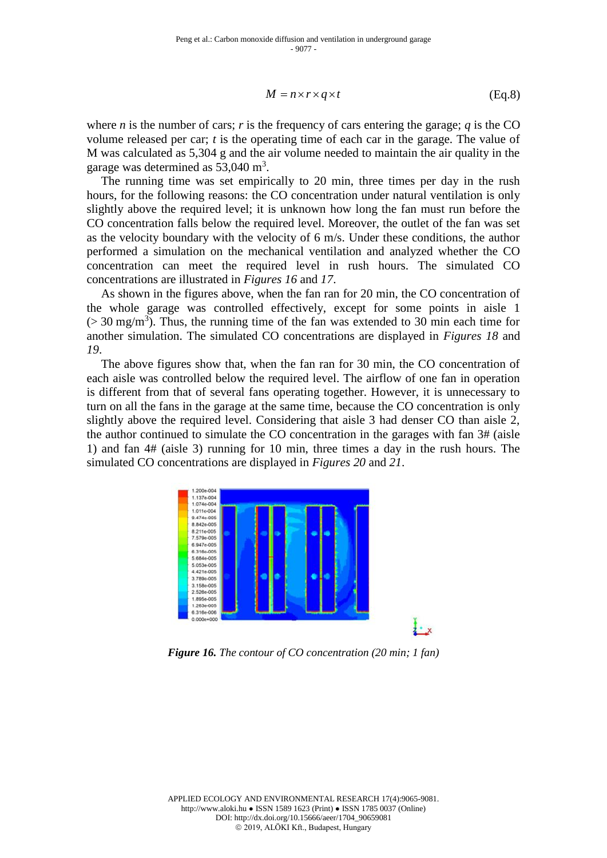$$
M = n \times r \times q \times t \tag{Eq.8}
$$

where *n* is the number of cars; *r* is the frequency of cars entering the garage; *q* is the CO volume released per car; *t* is the operating time of each car in the garage. The value of M was calculated as 5,304 g and the air volume needed to maintain the air quality in the garage was determined as  $53,040 \text{ m}^3$ .

The running time was set empirically to 20 min, three times per day in the rush hours, for the following reasons: the CO concentration under natural ventilation is only slightly above the required level; it is unknown how long the fan must run before the CO concentration falls below the required level. Moreover, the outlet of the fan was set as the velocity boundary with the velocity of  $6 \text{ m/s}$ . Under these conditions, the author performed a simulation on the mechanical ventilation and analyzed whether the CO concentration can meet the required level in rush hours. The simulated CO concentrations are illustrated in *Figures 16* and *17*.

As shown in the figures above, when the fan ran for 20 min, the CO concentration of the whole garage was controlled effectively, except for some points in aisle 1  $($  > 30 mg/m<sup>3</sup>). Thus, the running time of the fan was extended to 30 min each time for another simulation. The simulated CO concentrations are displayed in *Figures 18* and *19*.

The above figures show that, when the fan ran for 30 min, the CO concentration of each aisle was controlled below the required level. The airflow of one fan in operation is different from that of several fans operating together. However, it is unnecessary to turn on all the fans in the garage at the same time, because the CO concentration is only slightly above the required level. Considering that aisle 3 had denser CO than aisle 2, the author continued to simulate the CO concentration in the garages with fan 3# (aisle 1) and fan 4# (aisle 3) running for 10 min, three times a day in the rush hours. The simulated CO concentrations are displayed in *Figures 20* and *21*.



*Figure 16. The contour of CO concentration (20 min; 1 fan)*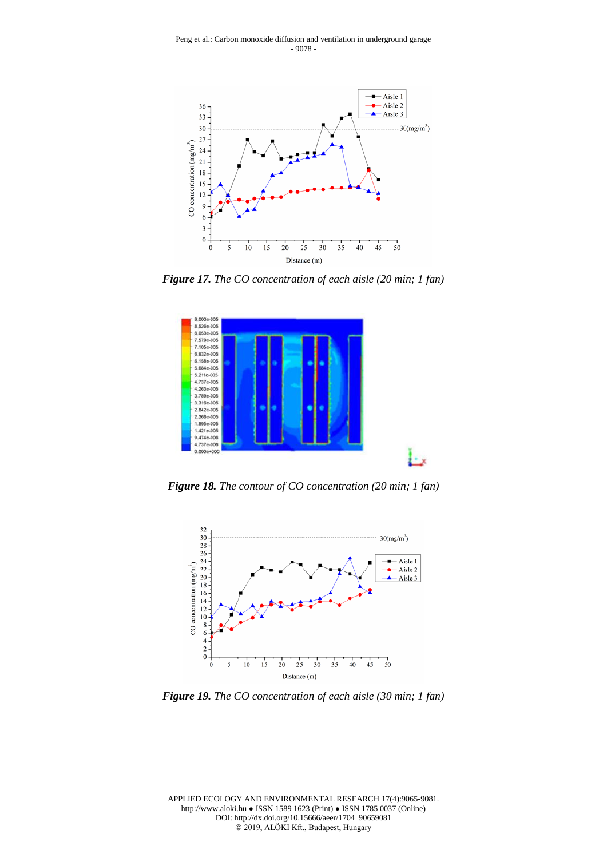

*Figure 17. The CO concentration of each aisle (20 min; 1 fan)*



*Figure 18. The contour of CO concentration (20 min; 1 fan)*



*Figure 19. The CO concentration of each aisle (30 min; 1 fan)*

APPLIED ECOLOGY AND ENVIRONMENTAL RESEARCH 17(4):9065-9081. http://www.aloki.hu ● ISSN 1589 1623 (Print) ● ISSN 1785 0037 (Online) DOI: http://dx.doi.org/10.15666/aeer/1704\_90659081 2019, ALÖKI Kft., Budapest, Hungary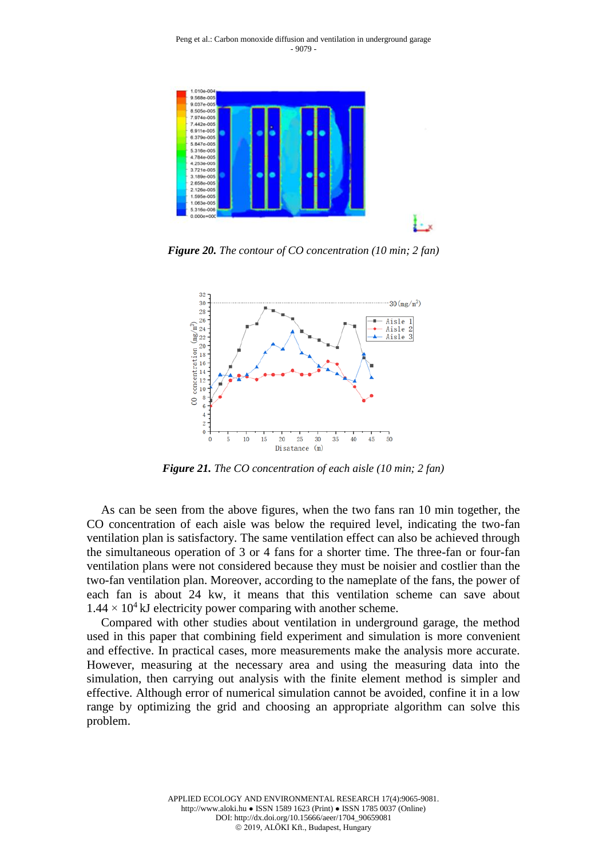

*Figure 20. The contour of CO concentration (10 min; 2 fan)*



*Figure 21. The CO concentration of each aisle (10 min; 2 fan)*

As can be seen from the above figures, when the two fans ran 10 min together, the CO concentration of each aisle was below the required level, indicating the two-fan ventilation plan is satisfactory. The same ventilation effect can also be achieved through the simultaneous operation of 3 or 4 fans for a shorter time. The three-fan or four-fan ventilation plans were not considered because they must be noisier and costlier than the two-fan ventilation plan. Moreover, according to the nameplate of the fans, the power of each fan is about 24 kw, it means that this ventilation scheme can save about  $1.44 \times 10^4$  kJ electricity power comparing with another scheme.

Compared with other studies about ventilation in underground garage, the method used in this paper that combining field experiment and simulation is more convenient and effective. In practical cases, more measurements make the analysis more accurate. However, measuring at the necessary area and using the measuring data into the simulation, then carrying out analysis with the finite element method is simpler and effective. Although error of numerical simulation cannot be avoided, confine it in a low range by optimizing the grid and choosing an appropriate algorithm can solve this problem.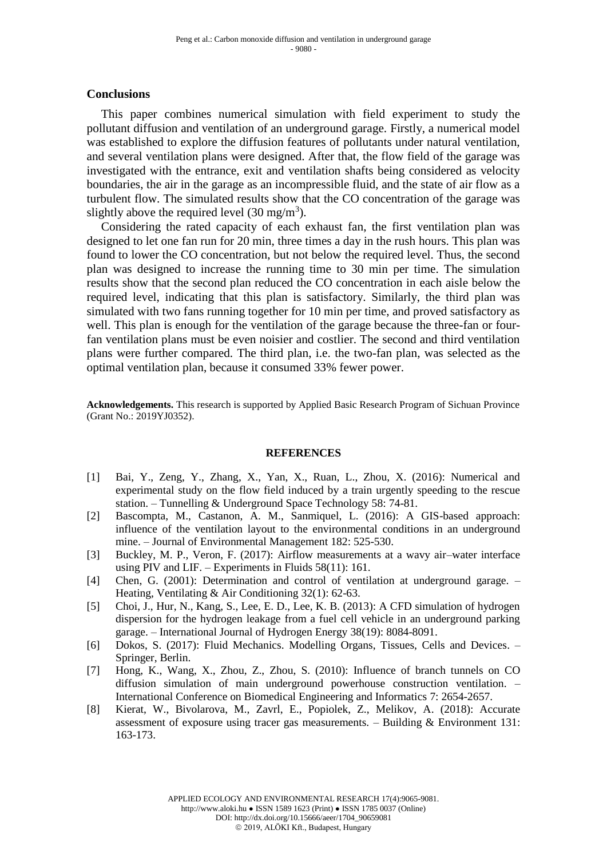#### **Conclusions**

This paper combines numerical simulation with field experiment to study the pollutant diffusion and ventilation of an underground garage. Firstly, a numerical model was established to explore the diffusion features of pollutants under natural ventilation, and several ventilation plans were designed. After that, the flow field of the garage was investigated with the entrance, exit and ventilation shafts being considered as velocity boundaries, the air in the garage as an incompressible fluid, and the state of air flow as a turbulent flow. The simulated results show that the CO concentration of the garage was slightly above the required level  $(30 \text{ mg/m}^3)$ .

Considering the rated capacity of each exhaust fan, the first ventilation plan was designed to let one fan run for 20 min, three times a day in the rush hours. This plan was found to lower the CO concentration, but not below the required level. Thus, the second plan was designed to increase the running time to 30 min per time. The simulation results show that the second plan reduced the CO concentration in each aisle below the required level, indicating that this plan is satisfactory. Similarly, the third plan was simulated with two fans running together for 10 min per time, and proved satisfactory as well. This plan is enough for the ventilation of the garage because the three-fan or fourfan ventilation plans must be even noisier and costlier. The second and third ventilation plans were further compared. The third plan, i.e. the two-fan plan, was selected as the optimal ventilation plan, because it consumed 33% fewer power.

**Acknowledgements.** This research is supported by Applied Basic Research Program of Sichuan Province (Grant No.: 2019YJ0352).

#### **REFERENCES**

- [1] Bai, Y., Zeng, Y., Zhang, X., Yan, X., Ruan, L., Zhou, X. (2016): Numerical and experimental study on the flow field induced by a train urgently speeding to the rescue station. – Tunnelling & Underground Space Technology 58: 74-81.
- [2] Bascompta, M., Castanon, A. M., Sanmiquel, L. (2016): A GIS-based approach: influence of the ventilation layout to the environmental conditions in an underground mine. – Journal of Environmental Management 182: 525-530.
- [3] Buckley, M. P., Veron, F. (2017): Airflow measurements at a wavy air–water interface using PIV and LIF. – Experiments in Fluids  $58(11)$ : 161.
- [4] Chen, G. (2001): Determination and control of ventilation at underground garage. Heating, Ventilating & Air Conditioning 32(1): 62-63.
- [5] Choi, J., Hur, N., Kang, S., Lee, E. D., Lee, K. B. (2013): A CFD simulation of hydrogen dispersion for the hydrogen leakage from a fuel cell vehicle in an underground parking garage. – International Journal of Hydrogen Energy 38(19): 8084-8091.
- [6] Dokos, S. (2017): Fluid Mechanics. Modelling Organs, Tissues, Cells and Devices. Springer, Berlin.
- [7] Hong, K., Wang, X., Zhou, Z., Zhou, S. (2010): Influence of branch tunnels on CO diffusion simulation of main underground powerhouse construction ventilation. – International Conference on Biomedical Engineering and Informatics 7: 2654-2657.
- [8] Kierat, W., Bivolarova, M., Zavrl, E., Popiolek, Z., Melikov, A. (2018): Accurate assessment of exposure using tracer gas measurements. – Building & Environment 131: 163-173.